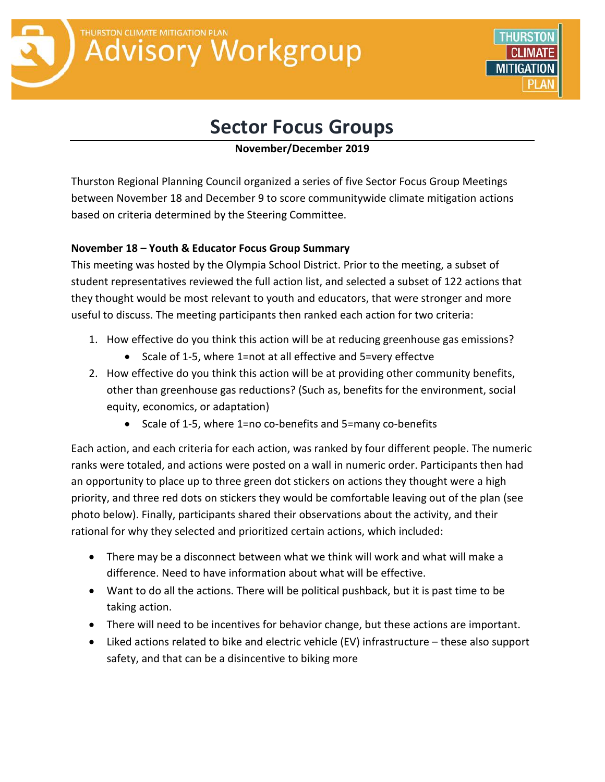# THURSTON CLIMATE MITIGATION PLAN **Advisory Workgroup**

# **Sector Focus Groups**

# **November/December 2019**

Thurston Regional Planning Council organized a series of five Sector Focus Group Meetings between November 18 and December 9 to score communitywide climate mitigation actions based on criteria determined by the Steering Committee.

# **November 18 – Youth & Educator Focus Group Summary**

This meeting was hosted by the Olympia School District. Prior to the meeting, a subset of student representatives reviewed the full action list, and selected a subset of 122 actions that they thought would be most relevant to youth and educators, that were stronger and more useful to discuss. The meeting participants then ranked each action for two criteria:

- 1. How effective do you think this action will be at reducing greenhouse gas emissions?
	- Scale of 1-5, where 1=not at all effective and 5=very effectve
- 2. How effective do you think this action will be at providing other community benefits, other than greenhouse gas reductions? (Such as, benefits for the environment, social equity, economics, or adaptation)
	- Scale of 1-5, where 1=no co-benefits and 5=many co-benefits

Each action, and each criteria for each action, was ranked by four different people. The numeric ranks were totaled, and actions were posted on a wall in numeric order. Participants then had an opportunity to place up to three green dot stickers on actions they thought were a high priority, and three red dots on stickers they would be comfortable leaving out of the plan (see photo below). Finally, participants shared their observations about the activity, and their rational for why they selected and prioritized certain actions, which included:

- There may be a disconnect between what we think will work and what will make a difference. Need to have information about what will be effective.
- Want to do all the actions. There will be political pushback, but it is past time to be taking action.
- There will need to be incentives for behavior change, but these actions are important.
- Liked actions related to bike and electric vehicle (EV) infrastructure these also support safety, and that can be a disincentive to biking more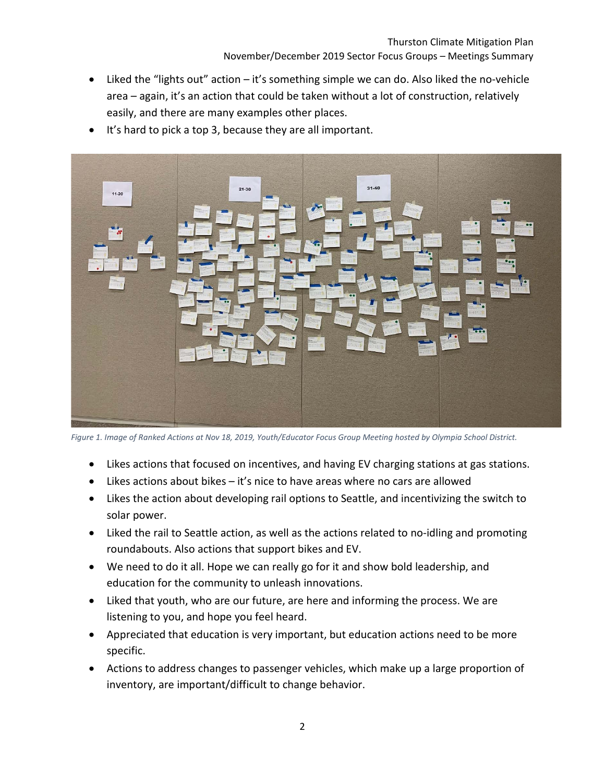- Liked the "lights out" action it's something simple we can do. Also liked the no-vehicle area – again, it's an action that could be taken without a lot of construction, relatively easily, and there are many examples other places.
- It's hard to pick a top 3, because they are all important.



*Figure 1. Image of Ranked Actions at Nov 18, 2019, Youth/Educator Focus Group Meeting hosted by Olympia School District.*

- Likes actions that focused on incentives, and having EV charging stations at gas stations.
- $\bullet$  Likes actions about bikes it's nice to have areas where no cars are allowed
- Likes the action about developing rail options to Seattle, and incentivizing the switch to solar power.
- Liked the rail to Seattle action, as well as the actions related to no-idling and promoting roundabouts. Also actions that support bikes and EV.
- We need to do it all. Hope we can really go for it and show bold leadership, and education for the community to unleash innovations.
- Liked that youth, who are our future, are here and informing the process. We are listening to you, and hope you feel heard.
- Appreciated that education is very important, but education actions need to be more specific.
- Actions to address changes to passenger vehicles, which make up a large proportion of inventory, are important/difficult to change behavior.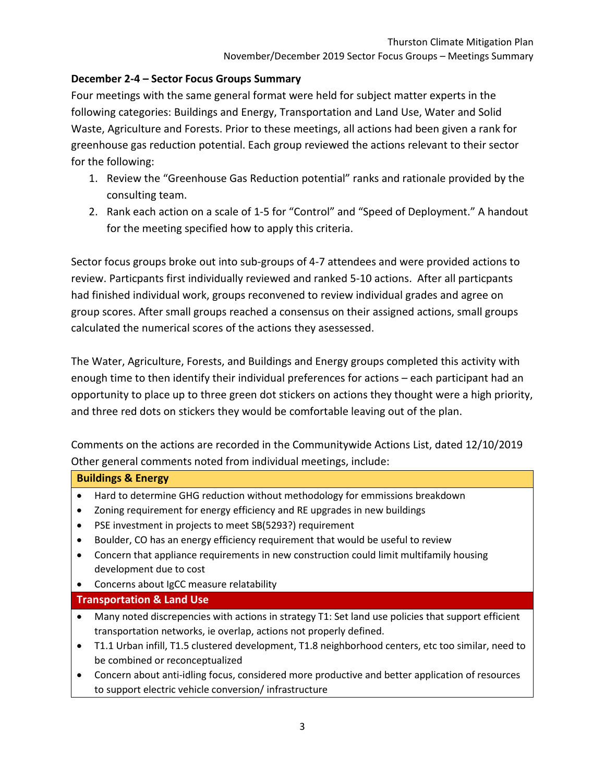# **December 2-4 – Sector Focus Groups Summary**

Four meetings with the same general format were held for subject matter experts in the following categories: Buildings and Energy, Transportation and Land Use, Water and Solid Waste, Agriculture and Forests. Prior to these meetings, all actions had been given a rank for greenhouse gas reduction potential. Each group reviewed the actions relevant to their sector for the following:

- 1. Review the "Greenhouse Gas Reduction potential" ranks and rationale provided by the consulting team.
- 2. Rank each action on a scale of 1-5 for "Control" and "Speed of Deployment." A handout for the meeting specified how to apply this criteria.

Sector focus groups broke out into sub-groups of 4-7 attendees and were provided actions to review. Particpants first individually reviewed and ranked 5-10 actions. After all particpants had finished individual work, groups reconvened to review individual grades and agree on group scores. After small groups reached a consensus on their assigned actions, small groups calculated the numerical scores of the actions they asessessed.

The Water, Agriculture, Forests, and Buildings and Energy groups completed this activity with enough time to then identify their individual preferences for actions – each participant had an opportunity to place up to three green dot stickers on actions they thought were a high priority, and three red dots on stickers they would be comfortable leaving out of the plan.

Comments on the actions are recorded in the Communitywide Actions List, dated 12/10/2019 Other general comments noted from individual meetings, include:

## **Buildings & Energy**

- Hard to determine GHG reduction without methodology for emmissions breakdown
- Zoning requirement for energy efficiency and RE upgrades in new buildings
- PSE investment in projects to meet SB(5293?) requirement
- Boulder, CO has an energy efficiency requirement that would be useful to review
- Concern that appliance requirements in new construction could limit multifamily housing development due to cost
- Concerns about IgCC measure relatability

## **Transportation & Land Use**

- Many noted discrepencies with actions in strategy T1: Set land use policies that support efficient transportation networks, ie overlap, actions not properly defined.
- T1.1 Urban infill, T1.5 clustered development, T1.8 neighborhood centers, etc too similar, need to be combined or reconceptualized
- Concern about anti-idling focus, considered more productive and better application of resources to support electric vehicle conversion/ infrastructure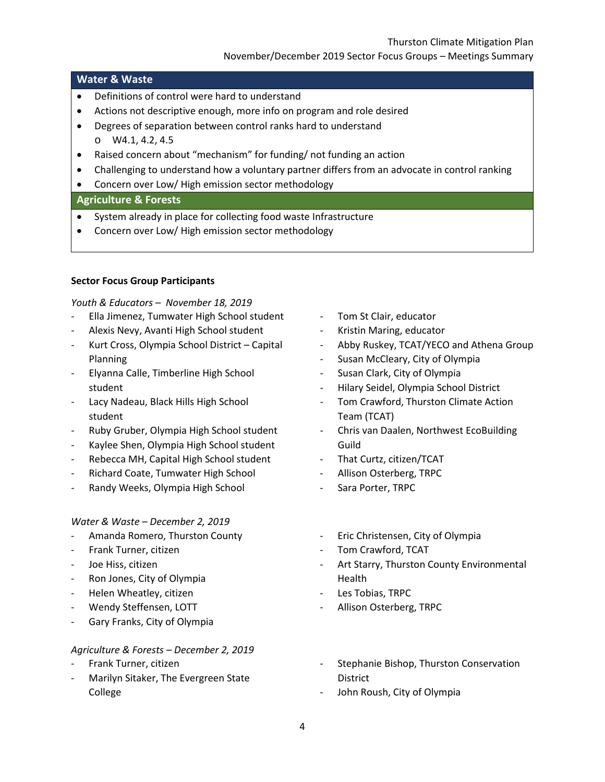## **Water & Waste**

- Definitions of control were hard to understand
- Actions not descriptive enough, more info on program and role desired
- Degrees of separation between control ranks hard to understand o W4.1, 4.2, 4.5
- Raised concern about "mechanism" for funding/ not funding an action
- Challenging to understand how a voluntary partner differs from an advocate in control ranking
- Concern over Low/ High emission sector methodology

## **Agriculture & Forests**

- System already in place for collecting food waste Infrastructure
- Concern over Low/ High emission sector methodology

#### **Sector Focus Group Participants**

#### *Youth & Educators – November 18, 2019*

- Ella Jimenez, Tumwater High School student
- Alexis Nevy, Avanti High School student
- Kurt Cross, Olympia School District Capital Planning
- Elyanna Calle, Timberline High School student
- Lacy Nadeau, Black Hills High School student
- Ruby Gruber, Olympia High School student
- Kaylee Shen, Olympia High School student
- Rebecca MH, Capital High School student
- Richard Coate, Tumwater High School
- Randy Weeks, Olympia High School

## *Water & Waste – December 2, 2019*

- Amanda Romero, Thurston County
- Frank Turner, citizen
- Joe Hiss, citizen
- Ron Jones, City of Olympia
- Helen Wheatley, citizen
- Wendy Steffensen, LOTT
- Gary Franks, City of Olympia

## *Agriculture & Forests – December 2, 2019*

- Frank Turner, citizen
- Marilyn Sitaker, The Evergreen State College
- Tom St Clair, educator
- Kristin Maring, educator
- Abby Ruskey, TCAT/YECO and Athena Group
- Susan McCleary, City of Olympia
- Susan Clark, City of Olympia
- Hilary Seidel, Olympia School District
- Tom Crawford, Thurston Climate Action Team (TCAT)
- Chris van Daalen, Northwest EcoBuilding Guild
- That Curtz, citizen/TCAT
- Allison Osterberg, TRPC
- Sara Porter, TRPC
- Eric Christensen, City of Olympia
- Tom Crawford, TCAT
- Art Starry, Thurston County Environmental Health
- Les Tobias, TRPC
- Allison Osterberg, TRPC
- Stephanie Bishop, Thurston Conservation District
- John Roush, City of Olympia